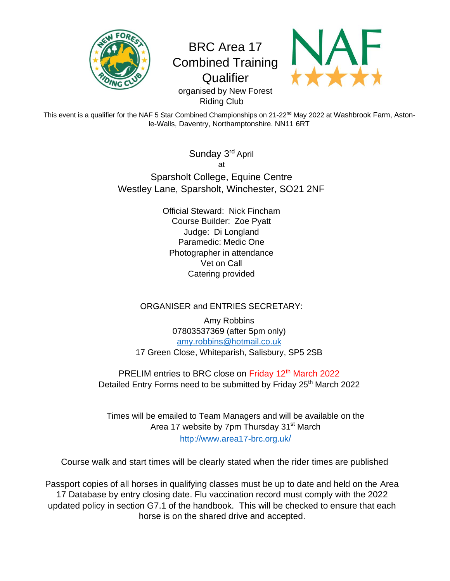

# BRC Area 17 Combined Training **Qualifier**



organised by New Forest Riding Club

This event is a qualifier for the NAF 5 Star Combined Championships on 21-22<sup>nd</sup> May 2022 at Washbrook Farm, Astonle-Walls, Daventry, Northamptonshire. NN11 6RT

> Sunday 3<sup>rd</sup> April at Sparsholt College, Equine Centre Westley Lane, Sparsholt, Winchester, SO21 2NF

> > Official Steward: Nick Fincham Course Builder: Zoe Pyatt Judge: Di Longland Paramedic: Medic One Photographer in attendance Vet on Call Catering provided

## ORGANISER and ENTRIES SECRETARY:

Amy Robbins 07803537369 (after 5pm only) [amy.robbins@hotmail.co.uk](mailto:amy.robbins@hotmail.co.uk) 17 Green Close, Whiteparish, Salisbury, SP5 2SB

PRELIM entries to BRC close on Friday 12<sup>th</sup> March 2022 Detailed Entry Forms need to be submitted by Friday 25<sup>th</sup> March 2022

Times will be emailed to Team Managers and will be available on the Area 17 website by 7pm Thursday 31<sup>st</sup> March [http://www.area17-brc.org.uk](http://www.area17-brc.org.uk/)[/](http://www.area17-brc.org.uk/)

Course walk and start times will be clearly stated when the rider times are published

Passport copies of all horses in qualifying classes must be up to date and held on the Area 17 Database by entry closing date. Flu vaccination record must comply with the 2022 updated policy in section G7.1 of the handbook. This will be checked to ensure that each horse is on the shared drive and accepted.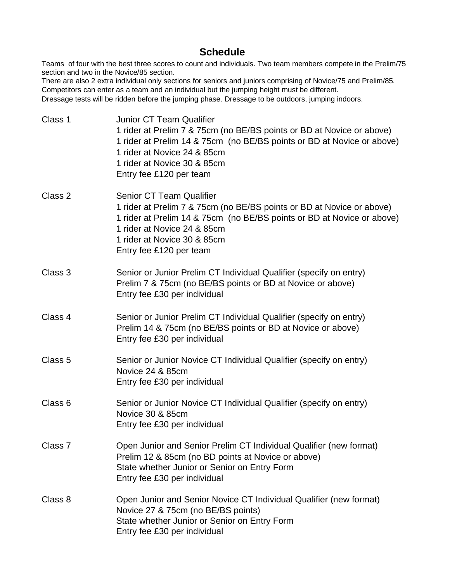# **Schedule**

Teams of four with the best three scores to count and individuals. Two team members compete in the Prelim/75 section and two in the Novice/85 section.

There are also 2 extra individual only sections for seniors and juniors comprising of Novice/75 and Prelim/85. Competitors can enter as a team and an individual but the jumping height must be different. Dressage tests will be ridden before the jumping phase. Dressage to be outdoors, jumping indoors.

| Class 1            | <b>Junior CT Team Qualifier</b><br>1 rider at Prelim 7 & 75cm (no BE/BS points or BD at Novice or above)<br>1 rider at Prelim 14 & 75cm (no BE/BS points or BD at Novice or above)<br>1 rider at Novice 24 & 85cm<br>1 rider at Novice 30 & 85cm<br>Entry fee £120 per team |
|--------------------|-----------------------------------------------------------------------------------------------------------------------------------------------------------------------------------------------------------------------------------------------------------------------------|
| Class 2            | <b>Senior CT Team Qualifier</b><br>1 rider at Prelim 7 & 75cm (no BE/BS points or BD at Novice or above)<br>1 rider at Prelim 14 & 75cm (no BE/BS points or BD at Novice or above)<br>1 rider at Novice 24 & 85cm<br>1 rider at Novice 30 & 85cm<br>Entry fee £120 per team |
| Class 3            | Senior or Junior Prelim CT Individual Qualifier (specify on entry)<br>Prelim 7 & 75cm (no BE/BS points or BD at Novice or above)<br>Entry fee £30 per individual                                                                                                            |
| Class 4            | Senior or Junior Prelim CT Individual Qualifier (specify on entry)<br>Prelim 14 & 75cm (no BE/BS points or BD at Novice or above)<br>Entry fee £30 per individual                                                                                                           |
| Class 5            | Senior or Junior Novice CT Individual Qualifier (specify on entry)<br>Novice 24 & 85cm<br>Entry fee £30 per individual                                                                                                                                                      |
| Class 6            | Senior or Junior Novice CT Individual Qualifier (specify on entry)<br>Novice 30 & 85cm<br>Entry fee £30 per individual                                                                                                                                                      |
| Class <sub>7</sub> | Open Junior and Senior Prelim CT Individual Qualifier (new format)<br>Prelim 12 & 85cm (no BD points at Novice or above)<br>State whether Junior or Senior on Entry Form<br>Entry fee £30 per individual                                                                    |
| Class 8            | Open Junior and Senior Novice CT Individual Qualifier (new format)<br>Novice 27 & 75cm (no BE/BS points)<br>State whether Junior or Senior on Entry Form<br>Entry fee £30 per individual                                                                                    |
|                    |                                                                                                                                                                                                                                                                             |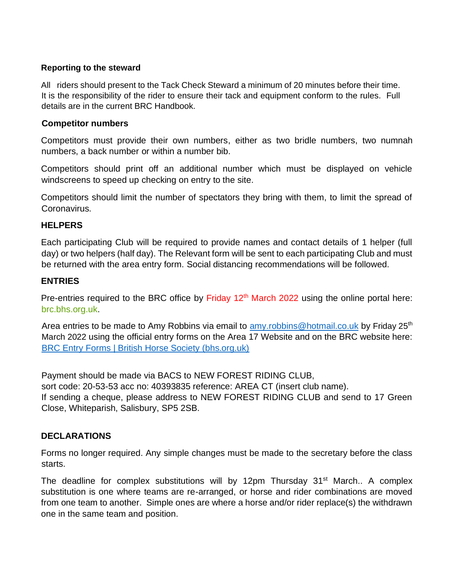#### **Reporting to the steward**

All riders should present to the Tack Check Steward a minimum of 20 minutes before their time. It is the responsibility of the rider to ensure their tack and equipment conform to the rules. Full details are in the current BRC Handbook.

#### **Competitor numbers**

Competitors must provide their own numbers, either as two bridle numbers, two numnah numbers, a back number or within a number bib.

Competitors should print off an additional number which must be displayed on vehicle windscreens to speed up checking on entry to the site.

Competitors should limit the number of spectators they bring with them, to limit the spread of Coronavirus.

#### **HELPERS**

Each participating Club will be required to provide names and contact details of 1 helper (full day) or two helpers (half day). The Relevant form will be sent to each participating Club and must be returned with the area entry form. Social distancing recommendations will be followed.

#### **ENTRIES**

Pre-entries required to the BRC office by Friday 12<sup>th</sup> March 2022 using the online portal here: [brc.bhs.org.uk.](https://brc.bhs.org.uk/)

Area entries to be made to Amy Robbins via email to [amy.robbins@hotmail.co.uk](mailto:amy.robbins@hotmail.co.uk) by Friday 25<sup>th</sup> March 2022 using the official entry forms on the Area 17 Website and on the BRC website here: [BRC Entry Forms | British Horse Society \(bhs.org.uk\)](http://www.bhs.org.uk/enjoy-riding/british-riding-clubs/brc-downloads/brc-entry-forms)

Payment should be made via BACS to NEW FOREST RIDING CLUB, sort code: 20-53-53 acc no: 40393835 reference: AREA CT (insert club name). If sending a cheque, please address to NEW FOREST RIDING CLUB and send to 17 Green Close, Whiteparish, Salisbury, SP5 2SB.

#### **DECLARATIONS**

Forms no longer required. Any simple changes must be made to the secretary before the class starts.

The deadline for complex substitutions will by 12pm Thursday  $31<sup>st</sup>$  March.. A complex substitution is one where teams are re-arranged, or horse and rider combinations are moved from one team to another. Simple ones are where a horse and/or rider replace(s) the withdrawn one in the same team and position.